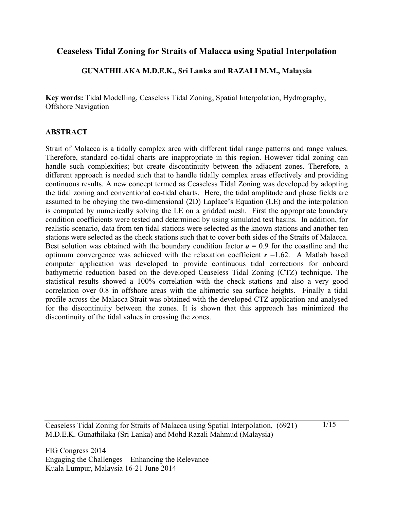# **Ceaseless Tidal Zoning for Straits of Malacca using Spatial Interpolation**

## **GUNATHILAKA M.D.E.K., Sri Lanka and RAZALI M.M., Malaysia**

**Key words:** Tidal Modelling, Ceaseless Tidal Zoning, Spatial Interpolation, Hydrography, Offshore Navigation

## **ABSTRACT**

Strait of Malacca is a tidally complex area with different tidal range patterns and range values. Therefore, standard co-tidal charts are inappropriate in this region. However tidal zoning can handle such complexities; but create discontinuity between the adjacent zones. Therefore, a different approach is needed such that to handle tidally complex areas effectively and providing continuous results. A new concept termed as Ceaseless Tidal Zoning was developed by adopting the tidal zoning and conventional co-tidal charts. Here, the tidal amplitude and phase fields are assumed to be obeying the two-dimensional (2D) Laplace's Equation (LE) and the interpolation is computed by numerically solving the LE on a gridded mesh. First the appropriate boundary condition coefficients were tested and determined by using simulated test basins. In addition, for realistic scenario, data from ten tidal stations were selected as the known stations and another ten stations were selected as the check stations such that to cover both sides of the Straits of Malacca. Best solution was obtained with the boundary condition factor  $a = 0.9$  for the coastline and the optimum convergence was achieved with the relaxation coefficient  $r = 1.62$ . A Matlab based computer application was developed to provide continuous tidal corrections for onboard bathymetric reduction based on the developed Ceaseless Tidal Zoning (CTZ) technique. The statistical results showed a 100% correlation with the check stations and also a very good correlation over 0.8 in offshore areas with the altimetric sea surface heights. Finally a tidal profile across the Malacca Strait was obtained with the developed CTZ application and analysed for the discontinuity between the zones. It is shown that this approach has minimized the discontinuity of the tidal values in crossing the zones.

Ceaseless Tidal Zoning for Straits of Malacca using Spatial Interpolation, (6921) M.D.E.K. Gunathilaka (Sri Lanka) and Mohd Razali Mahmud (Malaysia)

1/15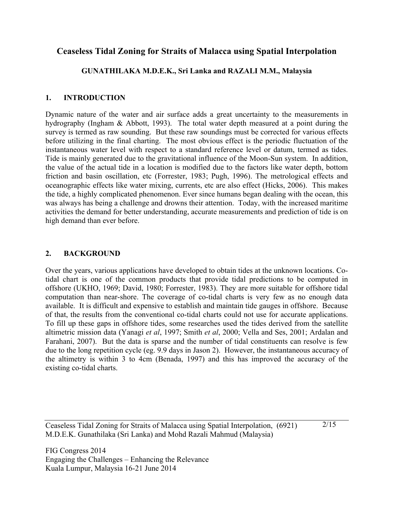# **Ceaseless Tidal Zoning for Straits of Malacca using Spatial Interpolation**

# **GUNATHILAKA M.D.E.K., Sri Lanka and RAZALI M.M., Malaysia**

# **1. INTRODUCTION**

Dynamic nature of the water and air surface adds a great uncertainty to the measurements in hydrography (Ingham & Abbott, 1993). The total water depth measured at a point during the survey is termed as raw sounding. But these raw soundings must be corrected for various effects before utilizing in the final charting. The most obvious effect is the periodic fluctuation of the instantaneous water level with respect to a standard reference level or datum, termed as tides. Tide is mainly generated due to the gravitational influence of the Moon-Sun system. In addition, the value of the actual tide in a location is modified due to the factors like water depth, bottom friction and basin oscillation, etc (Forrester, 1983; Pugh, 1996). The metrological effects and oceanographic effects like water mixing, currents, etc are also effect (Hicks, 2006). This makes the tide, a highly complicated phenomenon. Ever since humans began dealing with the ocean, this was always has being a challenge and drowns their attention. Today, with the increased maritime activities the demand for better understanding, accurate measurements and prediction of tide is on high demand than ever before.

# **2. BACKGROUND**

Over the years, various applications have developed to obtain tides at the unknown locations. Cotidal chart is one of the common products that provide tidal predictions to be computed in offshore (UKHO, 1969; David, 1980; Forrester, 1983). They are more suitable for offshore tidal computation than near-shore. The coverage of co-tidal charts is very few as no enough data available. It is difficult and expensive to establish and maintain tide gauges in offshore. Because of that, the results from the conventional co-tidal charts could not use for accurate applications. To fill up these gaps in offshore tides, some researches used the tides derived from the satellite altimetric mission data (Yanagi *et al*, 1997; Smith *et al*, 2000; Vella and Ses, 2001; Ardalan and Farahani, 2007). But the data is sparse and the number of tidal constituents can resolve is few due to the long repetition cycle (eg. 9.9 days in Jason 2). However, the instantaneous accuracy of the altimetry is within 3 to 4cm (Benada, 1997) and this has improved the accuracy of the existing co-tidal charts.

Ceaseless Tidal Zoning for Straits of Malacca using Spatial Interpolation, (6921) M.D.E.K. Gunathilaka (Sri Lanka) and Mohd Razali Mahmud (Malaysia)

2/15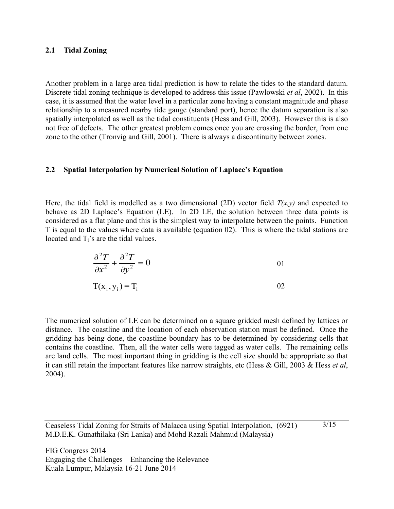#### **2.1 Tidal Zoning**

Another problem in a large area tidal prediction is how to relate the tides to the standard datum. Discrete tidal zoning technique is developed to address this issue (Pawlowski *et al*, 2002). In this case, it is assumed that the water level in a particular zone having a constant magnitude and phase relationship to a measured nearby tide gauge (standard port), hence the datum separation is also spatially interpolated as well as the tidal constituents (Hess and Gill, 2003). However this is also not free of defects. The other greatest problem comes once you are crossing the border, from one zone to the other (Tronvig and Gill, 2001). There is always a discontinuity between zones.

### **2.2 Spatial Interpolation by Numerical Solution of Laplace's Equation**

Here, the tidal field is modelled as a two dimensional (2D) vector field  $T(x,y)$  and expected to behave as 2D Laplace's Equation (LE). In 2D LE, the solution between three data points is considered as a flat plane and this is the simplest way to interpolate between the points. Function T is equal to the values where data is available (equation 02). This is where the tidal stations are located and  $T_i$ 's are the tidal values.

$$
\frac{\partial^2 T}{\partial x^2} + \frac{\partial^2 T}{\partial y^2} = 0
$$

$$
T(x_i, y_i) = T_i \tag{02}
$$

The numerical solution of LE can be determined on a square gridded mesh defined by lattices or distance. The coastline and the location of each observation station must be defined. Once the gridding has being done, the coastline boundary has to be determined by considering cells that contains the coastline. Then, all the water cells were tagged as water cells. The remaining cells are land cells. The most important thing in gridding is the cell size should be appropriate so that it can still retain the important features like narrow straights, etc (Hess & Gill, 2003 & Hess *et al*, 2004).

3/15

Ceaseless Tidal Zoning for Straits of Malacca using Spatial Interpolation, (6921) M.D.E.K. Gunathilaka (Sri Lanka) and Mohd Razali Mahmud (Malaysia)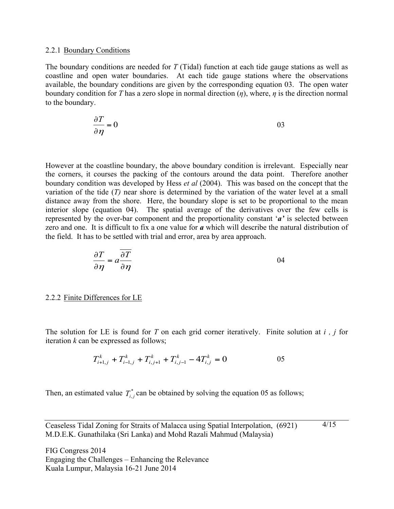#### 2.2.1 Boundary Conditions

The boundary conditions are needed for *T* (Tidal) function at each tide gauge stations as well as coastline and open water boundaries. At each tide gauge stations where the observations available, the boundary conditions are given by the corresponding equation 03. The open water boundary condition for *T* has a zero slope in normal direction (*η*), where, *η* is the direction normal to the boundary.

$$
\frac{\partial T}{\partial \eta} = 0
$$

However at the coastline boundary, the above boundary condition is irrelevant. Especially near the corners, it courses the packing of the contours around the data point. Therefore another boundary condition was developed by Hess *et al* (2004). This was based on the concept that the variation of the tide (*T)* near shore is determined by the variation of the water level at a small distance away from the shore. Here, the boundary slope is set to be proportional to the mean interior slope (equation 04). The spatial average of the derivatives over the few cells is represented by the over-bar component and the proportionality constant '*a'* is selected between zero and one. It is difficult to fix a one value for *a* which will describe the natural distribution of the field. It has to be settled with trial and error, area by area approach.

$$
\frac{\partial T}{\partial \eta} = a \frac{\partial T}{\partial \eta}
$$
 (94)

2.2.2 Finite Differences for LE

The solution for LE is found for *T* on each grid corner iteratively. Finite solution at *i , j* for iteration *k* can be expressed as follows;

$$
T_{i+1,j}^k + T_{i-1,j}^k + T_{i,j+1}^k + T_{i,j-1}^k - 4T_{i,j}^k = 0
$$
 05

Then, an estimated value  $T_{i,j}^*$  can be obtained by solving the equation 05 as follows;

Ceaseless Tidal Zoning for Straits of Malacca using Spatial Interpolation, (6921) M.D.E.K. Gunathilaka (Sri Lanka) and Mohd Razali Mahmud (Malaysia) 4/15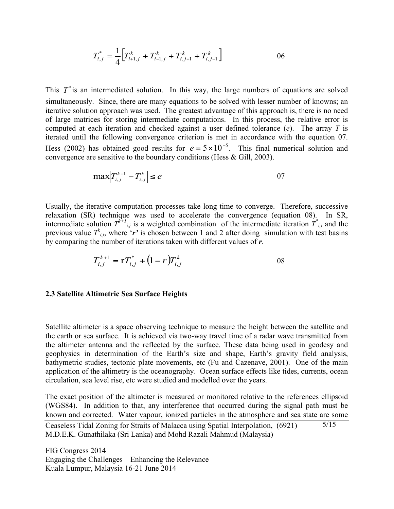$$
T_{i,j}^* = \frac{1}{4} \Big[ T_{i+1,j}^k + T_{i-1,j}^k + T_{i,j+1}^k + T_{i,j-1}^k \Big] \tag{06}
$$

This  $T^*$  is an intermediated solution. In this way, the large numbers of equations are solved simultaneously. Since, there are many equations to be solved with lesser number of knowns; an iterative solution approach was used. The greatest advantage of this approach is, there is no need of large matrices for storing intermediate computations. In this process, the relative error is computed at each iteration and checked against a user defined tolerance (*e*). The array *T* is iterated until the following convergence criterion is met in accordance with the equation 07. Hess (2002) has obtained good results for  $e = 5 \times 10^{-5}$ . This final numerical solution and convergence are sensitive to the boundary conditions (Hess & Gill, 2003).

$$
\max \left| T_{i,j}^{k+1} - T_{i,j}^k \right| \le e \tag{07}
$$

Usually, the iterative computation processes take long time to converge. Therefore, successive relaxation (SR) technique was used to accelerate the convergence (equation 08). In SR, intermediate solution  $T^{k+l}$ <sub>*i,j*</sub> is a weighted combination of the intermediate iteration  $T^*$ <sup>*i*</sup><sub>*ij*</sub> and the previous value  $T^k_{i,j}$ , where '*r*' is chosen between 1 and 2 after doing simulation with test basins by comparing the number of iterations taken with different values of *r.*

$$
T_{i,j}^{k+1} = rT_{i,j}^* + (1-r)T_{i,j}^k
$$
 08

#### **2.3 Satellite Altimetric Sea Surface Heights**

Satellite altimeter is a space observing technique to measure the height between the satellite and the earth or sea surface. It is achieved via two-way travel time of a radar wave transmitted from the altimeter antenna and the reflected by the surface. These data being used in geodesy and geophysics in determination of the Earth's size and shape, Earth's gravity field analysis, bathymetric studies, tectonic plate movements, etc (Fu and Cazenave, 2001). One of the main application of the altimetry is the oceanography. Ocean surface effects like tides, currents, ocean circulation, sea level rise, etc were studied and modelled over the years.

The exact position of the altimeter is measured or monitored relative to the references ellipsoid (WGS84). In addition to that, any interference that occurred during the signal path must be known and corrected. Water vapour, ionized particles in the atmosphere and sea state are some

Ceaseless Tidal Zoning for Straits of Malacca using Spatial Interpolation, (6921) M.D.E.K. Gunathilaka (Sri Lanka) and Mohd Razali Mahmud (Malaysia) 5/15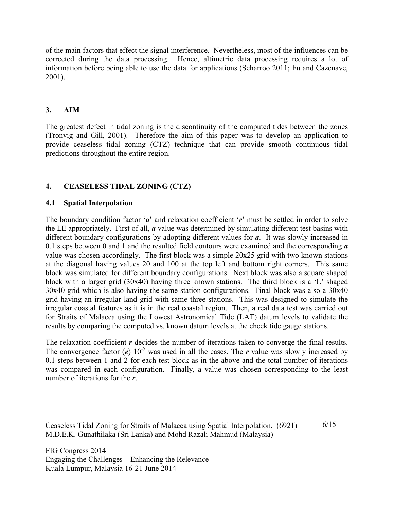of the main factors that effect the signal interference. Nevertheless, most of the influences can be corrected during the data processing. Hence, altimetric data processing requires a lot of information before being able to use the data for applications (Scharroo 2011; Fu and Cazenave, 2001).

# **3. AIM**

The greatest defect in tidal zoning is the discontinuity of the computed tides between the zones (Tronvig and Gill, 2001). Therefore the aim of this paper was to develop an application to provide ceaseless tidal zoning (CTZ) technique that can provide smooth continuous tidal predictions throughout the entire region.

# **4. CEASELESS TIDAL ZONING (CTZ)**

## **4.1 Spatial Interpolation**

The boundary condition factor '*a*' and relaxation coefficient '*r*' must be settled in order to solve the LE appropriately. First of all, *a* value was determined by simulating different test basins with different boundary configurations by adopting different values for *a*. It was slowly increased in 0.1 steps between 0 and 1 and the resulted field contours were examined and the corresponding *a* value was chosen accordingly. The first block was a simple 20x25 grid with two known stations at the diagonal having values 20 and 100 at the top left and bottom right corners. This same block was simulated for different boundary configurations. Next block was also a square shaped block with a larger grid (30x40) having three known stations. The third block is a 'L' shaped 30x40 grid which is also having the same station configurations. Final block was also a 30x40 grid having an irregular land grid with same three stations. This was designed to simulate the irregular coastal features as it is in the real coastal region. Then, a real data test was carried out for Straits of Malacca using the Lowest Astronomical Tide (LAT) datum levels to validate the results by comparing the computed vs. known datum levels at the check tide gauge stations.

The relaxation coefficient *r* decides the number of iterations taken to converge the final results. The convergence factor (*e*)  $10^{-5}$  was used in all the cases. The *r* value was slowly increased by 0.1 steps between 1 and 2 for each test block as in the above and the total number of iterations was compared in each configuration. Finally, a value was chosen corresponding to the least number of iterations for the *r*.

Ceaseless Tidal Zoning for Straits of Malacca using Spatial Interpolation, (6921) M.D.E.K. Gunathilaka (Sri Lanka) and Mohd Razali Mahmud (Malaysia)

6/15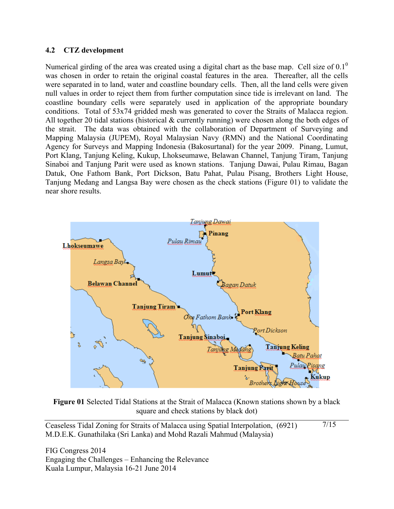### **4.2 CTZ development**

Numerical girding of the area was created using a digital chart as the base map. Cell size of  $0.1<sup>0</sup>$ was chosen in order to retain the original coastal features in the area. Thereafter, all the cells were separated in to land, water and coastline boundary cells. Then, all the land cells were given null values in order to reject them from further computation since tide is irrelevant on land. The coastline boundary cells were separately used in application of the appropriate boundary conditions. Total of 53x74 gridded mesh was generated to cover the Straits of Malacca region. All together 20 tidal stations (historical & currently running) were chosen along the both edges of the strait. The data was obtained with the collaboration of Department of Surveying and Mapping Malaysia (JUPEM), Royal Malaysian Navy (RMN) and the National Coordinating Agency for Surveys and Mapping Indonesia (Bakosurtanal) for the year 2009. Pinang, Lumut, Port Klang, Tanjung Keling, Kukup, Lhokseumawe, Belawan Channel, Tanjung Tiram, Tanjung Sinaboi and Tanjung Parit were used as known stations. Tanjung Dawai, Pulau Rimau, Bagan Datuk, One Fathom Bank, Port Dickson, Batu Pahat, Pulau Pisang, Brothers Light House, Tanjung Medang and Langsa Bay were chosen as the check stations (Figure 01) to validate the near shore results.



**Figure 01** Selected Tidal Stations at the Strait of Malacca (Known stations shown by a black square and check stations by black dot)

Ceaseless Tidal Zoning for Straits of Malacca using Spatial Interpolation, (6921) M.D.E.K. Gunathilaka (Sri Lanka) and Mohd Razali Mahmud (Malaysia) 7/15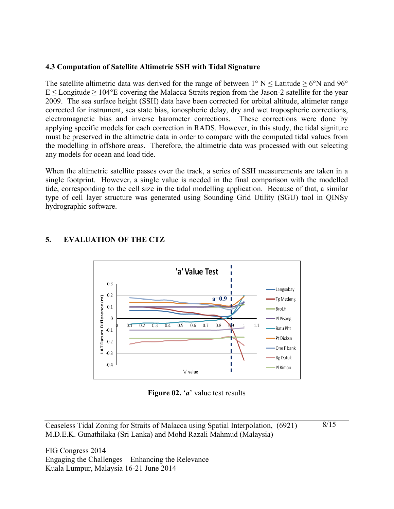## **4.3 Computation of Satellite Altimetric SSH with Tidal Signature**

The satellite altimetric data was derived for the range of between  $1^{\circ}$  N  $\leq$  Latitude  $\geq$  6°N and 96°  $E \leq$  Longitude  $\geq$  104°E covering the Malacca Straits region from the Jason-2 satellite for the year 2009. The sea surface height (SSH) data have been corrected for orbital altitude, altimeter range corrected for instrument, sea state bias, ionospheric delay, dry and wet tropospheric corrections, electromagnetic bias and inverse barometer corrections. These corrections were done by applying specific models for each correction in RADS. However, in this study, the tidal signiture must be preserved in the altimetric data in order to compare with the computed tidal values from the modelling in offshore areas. Therefore, the altimetric data was processed with out selecting any models for ocean and load tide.

When the altimetric satellite passes over the track, a series of SSH measurements are taken in a single footprint. However, a single value is needed in the final comparison with the modelled tide, corresponding to the cell size in the tidal modelling application. Because of that, a similar type of cell layer structure was generated using Sounding Grid Utility (SGU) tool in QINSy hydrographic software.



# **5. EVALUATION OF THE CTZ**

**Figure 02.** '*a*' value test results

Ceaseless Tidal Zoning for Straits of Malacca using Spatial Interpolation, (6921) M.D.E.K. Gunathilaka (Sri Lanka) and Mohd Razali Mahmud (Malaysia) 8/15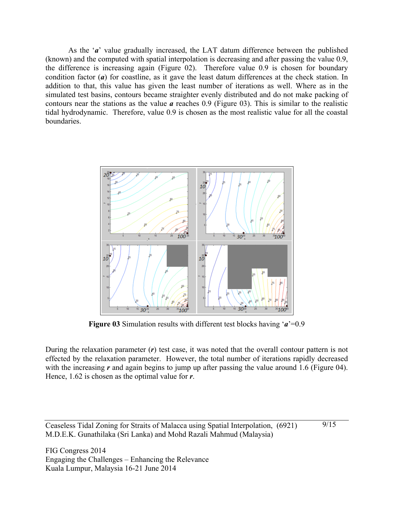As the '*a*' value gradually increased, the LAT datum difference between the published (known) and the computed with spatial interpolation is decreasing and after passing the value 0.9, the difference is increasing again (Figure 02). Therefore value 0.9 is chosen for boundary condition factor (*a*) for coastline, as it gave the least datum differences at the check station. In addition to that, this value has given the least number of iterations as well. Where as in the simulated test basins, contours became straighter evenly distributed and do not make packing of contours near the stations as the value *a* reaches 0.9 (Figure 03). This is similar to the realistic tidal hydrodynamic. Therefore, value 0.9 is chosen as the most realistic value for all the coastal boundaries.



**Figure 03** Simulation results with different test blocks having '*a*'=0.9

During the relaxation parameter (*r*) test case, it was noted that the overall contour pattern is not effected by the relaxation parameter. However, the total number of iterations rapidly decreased with the increasing *r* and again begins to jump up after passing the value around 1.6 (Figure 04). Hence, 1.62 is chosen as the optimal value for *r*.

Ceaseless Tidal Zoning for Straits of Malacca using Spatial Interpolation, (6921) M.D.E.K. Gunathilaka (Sri Lanka) and Mohd Razali Mahmud (Malaysia)

9/15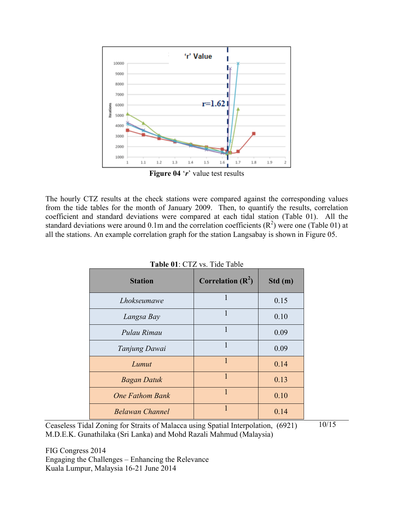

**Figure 04** '*r*' value test results

The hourly CTZ results at the check stations were compared against the corresponding values from the tide tables for the month of January 2009. Then, to quantify the results, correlation coefficient and standard deviations were compared at each tidal station (Table 01). All the standard deviations were around 0.1m and the correlation coefficients  $(R^2)$  were one (Table 01) at all the stations. An example correlation graph for the station Langsabay is shown in Figure 05.

| <b>Station</b>         | Correlation $(R^2)$ | Std(m) |
|------------------------|---------------------|--------|
| Lhokseumawe            | 1                   | 0.15   |
| Langsa Bay             |                     | 0.10   |
| Pulau Rimau            | 1                   | 0.09   |
| Tanjung Dawai          | 1                   | 0.09   |
| Lumut                  | $\mathbf{1}$        | 0.14   |
| <b>Bagan Datuk</b>     | $\mathbf{1}$        | 0.13   |
| <b>One Fathom Bank</b> | 1                   | 0.10   |
| <b>Belawan Channel</b> | 1                   | 0.14   |

| Table 01: CTZ vs. Tide Table |
|------------------------------|
|------------------------------|

Ceaseless Tidal Zoning for Straits of Malacca using Spatial Interpolation, (6921) M.D.E.K. Gunathilaka (Sri Lanka) and Mohd Razali Mahmud (Malaysia) 10/15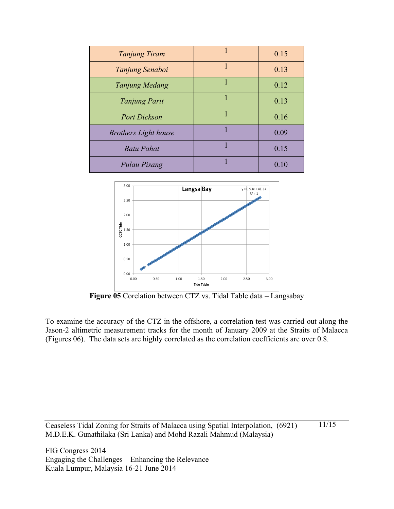| Tanjung Tiram               | 1 | 0.15 |
|-----------------------------|---|------|
| Tanjung Senaboi             | 1 | 0.13 |
| Tanjung Medang              |   | 0.12 |
| <b>Tanjung Parit</b>        | 1 | 0.13 |
| <b>Port Dickson</b>         | 1 | 0.16 |
| <b>Brothers Light house</b> |   | 0.09 |
| <b>Batu Pahat</b>           |   | 0.15 |
| Pulau Pisang                |   | 0.10 |



**Figure 05** Corelation between CTZ vs. Tidal Table data – Langsabay

To examine the accuracy of the CTZ in the offshore, a correlation test was carried out along the Jason-2 altimetric measurement tracks for the month of January 2009 at the Straits of Malacca (Figures 06). The data sets are highly correlated as the correlation coefficients are over 0.8.

Ceaseless Tidal Zoning for Straits of Malacca using Spatial Interpolation, (6921) M.D.E.K. Gunathilaka (Sri Lanka) and Mohd Razali Mahmud (Malaysia) 11/15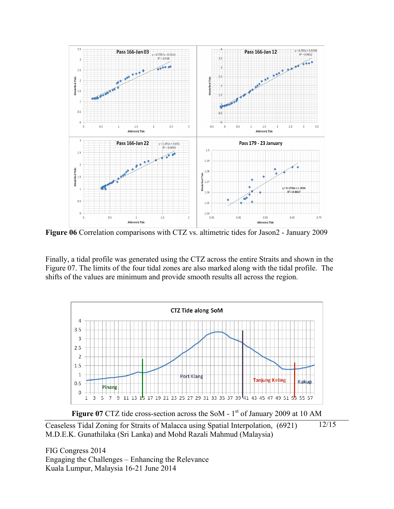

**Figure 06** Correlation comparisons with CTZ vs. altimetric tides for Jason2 - January 2009

Finally, a tidal profile was generated using the CTZ across the entire Straits and shown in the Figure 07. The limits of the four tidal zones are also marked along with the tidal profile. The shifts of the values are minimum and provide smooth results all across the region.



Ceaseless Tidal Zoning for Straits of Malacca using Spatial Interpolation, (6921) M.D.E.K. Gunathilaka (Sri Lanka) and Mohd Razali Mahmud (Malaysia) 12/15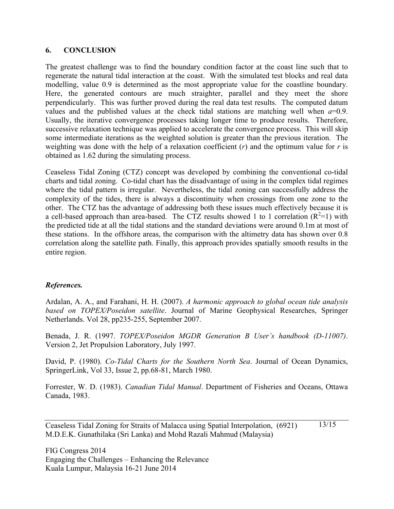### **6. CONCLUSION**

The greatest challenge was to find the boundary condition factor at the coast line such that to regenerate the natural tidal interaction at the coast. With the simulated test blocks and real data modelling, value 0.9 is determined as the most appropriate value for the coastline boundary. Here, the generated contours are much straighter, parallel and they meet the shore perpendicularly. This was further proved during the real data test results. The computed datum values and the published values at the check tidal stations are matching well when  $a=0.9$ . Usually, the iterative convergence processes taking longer time to produce results. Therefore, successive relaxation technique was applied to accelerate the convergence process. This will skip some intermediate iterations as the weighted solution is greater than the previous iteration. The weighting was done with the help of a relaxation coefficient  $(r)$  and the optimum value for  $r$  is obtained as 1.62 during the simulating process.

Ceaseless Tidal Zoning (CTZ) concept was developed by combining the conventional co-tidal charts and tidal zoning. Co-tidal chart has the disadvantage of using in the complex tidal regimes where the tidal pattern is irregular. Nevertheless, the tidal zoning can successfully address the complexity of the tides, there is always a discontinuity when crossings from one zone to the other. The CTZ has the advantage of addressing both these issues much effectively because it is a cell-based approach than area-based. The CTZ results showed 1 to 1 correlation  $(R^2=1)$  with the predicted tide at all the tidal stations and the standard deviations were around 0.1m at most of these stations. In the offshore areas, the comparison with the altimetry data has shown over 0.8 correlation along the satellite path. Finally, this approach provides spatially smooth results in the entire region.

## *References.*

Ardalan, A. A., and Farahani, H. H. (2007). *A harmonic approach to global ocean tide analysis based on TOPEX/Poseidon satellite*. Journal of Marine Geophysical Researches, Springer Netherlands. Vol 28, pp235-255, September 2007.

Benada, J. R. (1997. *TOPEX/Poseidon MGDR Generation B User's handbook (D-11007)*. Version 2, Jet Propulsion Laboratory, July 1997.

David, P. (1980). *Co-Tidal Charts for the Southern North Sea*. Journal of Ocean Dynamics, SpringerLink, Vol 33, Issue 2, pp.68-81, March 1980.

Forrester, W. D. (1983). *Canadian Tidal Manual*. Department of Fisheries and Oceans, Ottawa Canada, 1983.

Ceaseless Tidal Zoning for Straits of Malacca using Spatial Interpolation, (6921) M.D.E.K. Gunathilaka (Sri Lanka) and Mohd Razali Mahmud (Malaysia) 13/15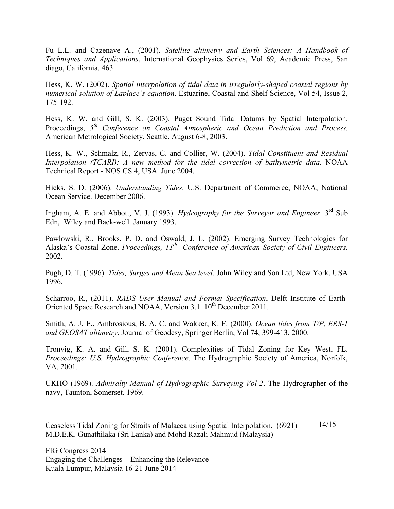Fu L.L. and Cazenave A., (2001). *Satellite altimetry and Earth Sciences: A Handbook of Techniques and Applications*, International Geophysics Series, Vol 69, Academic Press, San diago, California. 463

Hess, K. W. (2002). *Spatial interpolation of tidal data in irregularly-shaped coastal regions by numerical solution of Laplace's equation*. Estuarine, Coastal and Shelf Science, Vol 54, Issue 2, 175-192.

Hess, K. W. and Gill, S. K. (2003). Puget Sound Tidal Datums by Spatial Interpolation. Proceedings, *5th Conference on Coastal Atmospheric and Ocean Prediction and Process.* American Metrological Society, Seattle. August 6-8, 2003.

Hess, K. W., Schmalz, R., Zervas, C. and Collier, W. (2004). *Tidal Constituent and Residual Interpolation (TCARI): A new method for the tidal correction of bathymetric data*. NOAA Technical Report - NOS CS 4, USA. June 2004.

Hicks, S. D. (2006). *Understanding Tides*. U.S. Department of Commerce, NOAA, National Ocean Service. December 2006.

Ingham, A. E. and Abbott, V. J. (1993). *Hydrography for the Surveyor and Engineer*. 3<sup>rd</sup> Sub Edn, Wiley and Back-well. January 1993.

Pawlowski, R., Brooks, P. D. and Oswald, J. L. (2002). Emerging Survey Technologies for Alaska's Coastal Zone. *Proceedings, 11th Conference of American Society of Civil Engineers,* 2002.

Pugh, D. T. (1996). *Tides, Surges and Mean Sea level*. John Wiley and Son Ltd, New York, USA 1996.

Scharroo, R., (2011). *RADS User Manual and Format Specification*, Delft Institute of Earth-Oriented Space Research and NOAA, Version 3.1. 10<sup>th</sup> December 2011.

Smith, A. J. E., Ambrosious, B. A. C. and Wakker, K. F. (2000). *Ocean tides from T/P, ERS-1 and GEOSAT altimetry*. Journal of Geodesy, Springer Berlin, Vol 74, 399-413, 2000.

Tronvig, K. A. and Gill, S. K. (2001). Complexities of Tidal Zoning for Key West, FL. *Proceedings: U.S. Hydrographic Conference,* The Hydrographic Society of America, Norfolk, VA. 2001.

UKHO (1969). *Admiralty Manual of Hydrographic Surveying Vol-2*. The Hydrographer of the navy, Taunton, Somerset. 1969.

Ceaseless Tidal Zoning for Straits of Malacca using Spatial Interpolation, (6921) M.D.E.K. Gunathilaka (Sri Lanka) and Mohd Razali Mahmud (Malaysia) 14/15